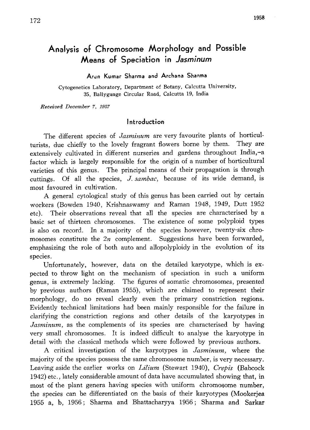# Analysis of Chromosome Morphology and Possible Means of Speciation in Jasminum

Arun Kumar Sharma and Archana Sharma

Cytogenetics Laboratory, Department of Botany, Calcutta University, 35, Ballygunge Circular Road, Calcutta 19, India

Received December 7, 1957

#### Introduction

The different species of *Jasminum* are very favourite plants of horticulturists, due chieffy to the lovely fragrant flowers borne by them. They are extensively cultivated in different nurseries and gardens throughout India,-a factor which is largely responsible for the origin of a number of horticultural varieties of this genus. The principal means of their propagation is through cuttings. Of all the species,  $J$ ,  $\frac{sum}{\alpha}$ , because of its wide demand, is most favoured in cultivation.

A general cytological study of this genus has been carried out by certain workers (Bowden 1940, Krishnaswamy and Raman 1948, 1949, Dutt 1952 etc). Their observations reveal that all the species are characterised by a basic set of thirteen chromosomes. The existence of some polyploid types is also on record. In a majority of the species however, twenty-six chro mosomes constitute the  $2n$  complement. Suggestions have been forwarded, emphasizing the role of both auto and allopolyploidy in the evolution of its species.

Unfortunately, however, data on the detailed karyotype, which is ex pected to throw light on the mechanism of speciation in such a uniform genus, is extremely lacking. The figures of somatic chromosomes, presented by previous authors (Raman 1955), which are claimed to represent their morphology, do no reveal clearly even the primary constriction regions. Evidently technical limitations had been mainly responsible for the failure in clarifying the constriction regions and other details of the karyotypes in Jasminum, as the complements of its species are characterised by having very small chromosomes. It is indeed difficult to analyse the karyotype in detail with the classical methods which were followed by previous authors.

A critical investigation of the karyotypes in Jasminum, where the majority of the species possess the same chromosome number, is very necessary. Leaving aside the earlier works on Lilium (Stewart 1940), Crepis (Babcock 1942) etc., lately considerable amount of data have accumulated showing that, in most of the plant genera having species with uniform chromosome number, the species can be differentiated on the basis of their karyotypes (Mookerjea 1955 a, b, 1956; Sharma and Bhattacharyya 1956; Sharma and Sarkar  $\sim$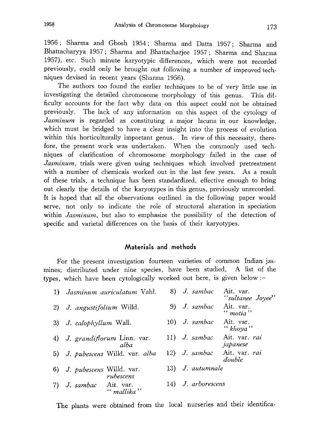1956; Sharma and Ghosh 1954; Sharma and Datta 1957; Sharma and Bhattacharyya 1957; Sharma and Bhattacharjee 1957; Sharma and Sharma 1957), etc. Such minute karyotypic differences , which were not recorded previously, could only be brought out following a number of improved tech niques devised in recent years (Sharma 1956).

The authors too found the earlier techniques to be of very little use in investigating the detailed chromosome morphology of this genus. This dif ficulty accounts for the fact why data on this aspect could not be obtained previously. The lack of any information on this aspect of the cytology of Jasminum is regarded as constituting a major lacuna in our knowledge, which must be bridged to have a clear insight into the process of evolution within this horticulturally important genus. In view of this necessity, therefore, the present work was undertaken. When the commonly used tech niques of clarification of chromosome morphology failed in the case of Jasminum, trials were given using techniques which involved pretreatment with a number of chemicals worked out in the last few years. As a result of these trials, a technique has been standardized, effective enough to bring out clearly the details of the karyotypes in this genus, previously unrecorded. It is hoped that all the observations outlined in the following paper would serve, not only to indicate the role of structural alteration in speciation within *Jasminum*, but also to emphasize the possibility of the detection of specific and varietal differences on the basis of their karyotypes.

### Materials and methods

For the present investigation fourteen varieties of common Indian jas mines; distributed under nine species, have been studied, A list of the types, which have been cytologically worked out here, is given below:

| 1) Jasminum auriculatum Vahl.            |    | 8) J. sambac       | Ait. var.<br>"sultanee Joyee"         |
|------------------------------------------|----|--------------------|---------------------------------------|
| 2) J. angustifolium Willd.               | 9) | J. sambac          | Ait. var.<br>$"$ motia"               |
| 3) J. calophyllum Wall.                  |    | $10)$ J. sambac    | Ait. var.<br>" $khoya$ "              |
| 4) J. grandiflorum Linn. var.<br>alha    |    | $11)$ J. sambac    | Ait. var. rai<br>japanese             |
| 5) J. pubescens Willd. var. alba         |    |                    | 12) J. sambac Ait. var. rai<br>double |
| 6) J. pubescens Willd. var.<br>rubescens |    | 13) J. autumnale   |                                       |
| J. sambac<br>Ait. var.<br>" mallika"     |    | 14) J. arborescens |                                       |

The plants were obtained from the local nurseries and their identifica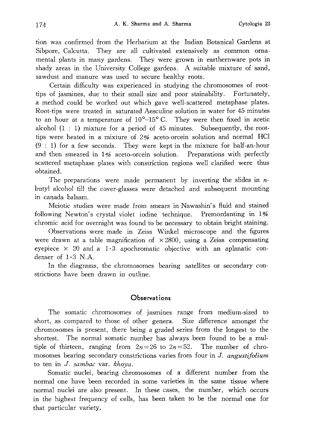tion was confirmed from the Herbarium at the Indian Botanical Gardens at Sibpore, Calcutta. They are all cultivated extensively as common orna mental plants in many gardens. They were grown in earthernware pots in shady areas in the University College gardens. A suitable mixture of sand, sawdust and manure was used to secure healthy roots.

Certain difficulty was experienced in studying the chromosomes of root tips of jasmines, due to their small size and poor stainability. Fortunately, a method could be worked out which gave well-scattered metaphase plates. Root-tips were treated in saturated Aesculine solution in water for 45 minutes to an hour at a temperature of  $10^{\circ}-15^{\circ}$  C. They were then fixed in acetic alcohol  $(1:1)$  mixture for a period of 45 minutes. Subsequently, the roottips were heated in a mixture of  $2\%$  aceto-orcein solution and normal HCl (9:1) for a few seconds. They were kept in the mixture for half-an-hour and then smeared in 1% aceto-orcein solution. Preparations with perfectly scattered metaphase plates with constriction regions well clarified were thus obtained.

The preparations were made permanent by inverting the slides in  $n$ butyl alcohol till the cover-glasses were detached and subsequent mounting in canada balsam.

Meiotic studies were made from smears in Nawashin's fluid and stained following Newton's crystal violet iodine technique. Premordanting in 1% chromic acid for overnight was found to be necessary to obtain bright staining.

Observations were made in Zeiss Winkel microscope and the figures were drawn at a table magnification of  $\times$ 2800, using a Zeiss compensating eyepiece  $\times$  20 and a 1·3 apochromatic objective with an aplanatic condenser of  $1-3$  N.A.

In the diagrams, the chromosomes bearing satellites or secondary con strictions have been drawn in outline.

#### **Observations**

The somatic chromosomes of jasmines range from medium-sized to short, as compared to those of other genera. Size difference amongst the chromosomes is present, there being a graded series from the longest to the shortest. The normal somatic number has always been found to be a mul tiple of thirteen, ranging from  $2n=26$  to  $2n=52$ . The number of chromosomes bearing secondary constrictions varies from four in J. angustifolium to ten in J. sambac var. khoya.

Somatic nuclei, bearing chromosomes of a different number from the normal one have been recorded in some varieties in the same tissue where normal nuclei are also present. In these cases, the number, which occurs in the highest frequency of cells, has been taken to be the normal one for that particular variety.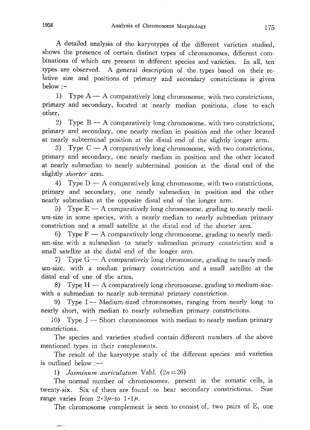A detailed analysis of the karyotypes of the different varieties studied , shows the presence of certain distinct types of chromosomes, different combinations of which are present in different species and varieties. In all, te types are observed. A general description of the types based on their re lative size and positions of primary and secondary constrictions is given below:

1) Type  $A - A$  comparatively long chromosome, with two constrictions, primary and secondary, located at nearly median positions, close to each other.

2) Type  $B - A$  comparatively long chromosome, with two constrictions, primary and secondary, one nearly median in position and the other located at nearly subterminal position at the distal end of the slightly longer arm.

3) Type  $C - A$  comparatively long chromosome, with two constrictions, primary and secondary, one nearly median in position and the other located at nearly submedian to nearly subterminal position at the distal end of the slightly *shorter* arm.

4) Type  $D - A$  comparatively long chromosome, with two constrictions, primary and secondary, one nearly submedian in position and the other nearly submedian at the opposite distal end of the longer arm.

5) Type  $E - A$  comparatively long chromosome, grading to nearly medium-size in some species, with a nearly median to nearly submedian primary constriction and a small satellite at the distal end of the shorter arm.

6) Type  $F - A$  comparatively long chromosome, grading to nearly medium-size with a submedian to nearly submedian primary constriction and a small satellite at the distal end of the longer arm.

7) Type  $G - A$  comparatively long chromosome, grading to nearly medium-size, with a median primary constriction and a small satellite at the distal end of one of the arms.

8) Type  $H - A$  comparatively long chromosome, grading to medium-sizewith a submedian to nearly sub-terminal primary constriction.

9) Type I — Medium-sized chromosomes, ranging from nearly long to nearly short, with median to nearly submedian primary constrictions.

10) Type  $J -$ Short chromosomes with median to nearly median primary constrictions.

The species and varieties studied contain different numbers of the above mentioned types in their complements.

The result of the karyotype study of the different species and varieties is outlined below:

1) Jasminum auriculatum Vahl.  $(2n=26)$ 

The normal number of chromosomes, present in the somatic cells, is twenty-six. Six of them are found to bear secondary constrictions. Size range varies from  $2 \cdot 3\mu$ -to  $1 \cdot 1\mu$ .

The chromosome complement is seen to consist of, two pairs of E, one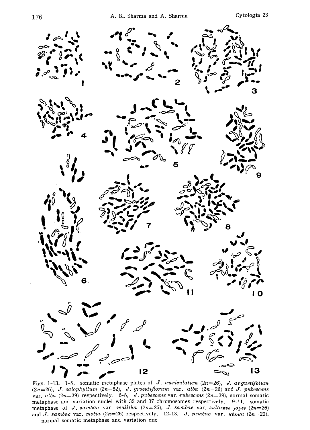

Figs. 1-13. 1-5, somatic metaphase plates of J. auriculatum (2n=26), J. angustifolum  $(2n=26)$ , J. calophyllum  $(2n=52)$ , J. grandiflorum var. alba  $(2n=26)$  and J. pubescens var. alba (2n=39) respectively. 6-8, J. pubescens var. rubescens (2n=39), normal somatic metaphase and variation nuclei with 32 and 37 chromosomes respectively. 9-11, somatic metaphase of **J**. sambac var. mallika  $(2n=26)$ , **J**. sambac var. sultanee joyee  $(2n=26)$ and J. sambac var. motia  $(2n=26)$  respectively. 12-13, J. sambac var. khoua  $(2n=26)$ . normal somatic metaphase and variation nuc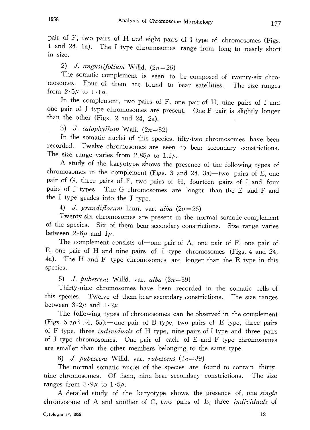pair of F, two pairs of H and eight pairs of I type of chromosomes (Figs . 1 and 24, 1a). The I type chromosomes range from long to nearly short in size.

2) J. angustifolium Willd.  $(2n=26)$ 

The somatic complement is seen to be composed of twenty -six chro mosomes. Four of them are found to bear satellities. The size range from  $2.5\mu$  to  $1.1\mu$ .

In the complement, two pairs of F, one pair of H, nine pairs of I and one pair of J type chromosomes are present. One F pair is slightly long than the other (Figs.  $2$  and  $24$ ,  $2a$ 

3) J. calophyllum Wall.  $(2n\pi)$ 

In the somatic nuclei of this species, fifty-two chromosomes have been recorded. Twelve chromosomes are seen to bear secondary constrictions . The size range varies from  $2.85\mu$  to  $1.1\mu$ .

A study of the karyotype shows the presence of the following types of chromosomes in the complement (Figs. 3 and 24, 3a)—two pairs of E, one pair of G, three pairs of F, two pairs of H, fourteen pairs of I and four pairs of J types. The G chromosomes are longer than the E and F and the I type grades into the J type .

4) J. grandiflorum Linn. var. alba  $(2n=$ 

Twenty-six chromosomes are present in the normal somatic complement of the species. Six of them bear secondary constrictions. Size range varies between  $2.8\mu$  and  $1\mu$ .

The complement consists of one pair of A, one pair of F, one pair of E, one pair of H and nine pairs of I type chromosomes (Figs . 4 and 24, 4a). The H and F type chromosomes are longer than the E type in this species.

5) J. pubescens Willd. var. alba  $(2n=39)$ 

Thirty-nine chromosomes have been recorded in the somatic cells of this species. Twelve of them bear secondary constrictions. The size ranges between  $3 \cdot 2\mu$  and  $1 \cdot 2\mu$ .

The following types of chromosomes can be observed in the complement (Figs. 5 and 24, 5a):—one pair of B type, two pairs of E type, three pairs of F type, three *individuals* of H type, nine pairs of I type and three pairs of J type chromosomes. One pair of each of E and F type chromosomes are smaller than the other members belonging to the same type.

6) J. pubescens Willd. var. rubescens  $(2n=39)$ 

The normal somatic nuclei of the species are found to contain thirty nine chromosomes. Of them, nine bear secondary constrictions. The size ranges from  $3.9\mu$  to  $1.5\mu$ .

A detailed study of the karyotype shows the presence of, one *single* chromosome of A and another of C, two pairs of E, three individuals of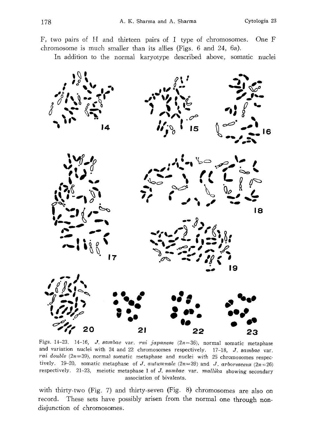F, two pairs of H and thirteen pairs of I type of chromosomes. One F chromosome is much smaller than its allies (Figs. 6 and 24, 6a).

In addition to the normal karyotype described above, somatic nuclei



Figs. 14-23. 14-16, *J. sambac var. rai japanese (2n*=36), normal somatic metaphas and variation nuclei with 24 and 22 chromosomes respectively.  $17-18$ , J. sambac var. rai double  $(2n=39)$ , normal somatic metaphase and nuclei with 25 chromosomes respectively. 19-20, somatic metaphase of J. autumnale (2n=39) and J. arborescens (2n=26) respectively. 21-23, meiotic metaphase I of J. sambac var. mallika showing secondary association of bivalents.

with thirty-two (Fig. 7) and thirty-seven (Fig. 8) chromosomes are also on record. These sets have possibly arisen from the normal one through nondisjunction of chromosomes.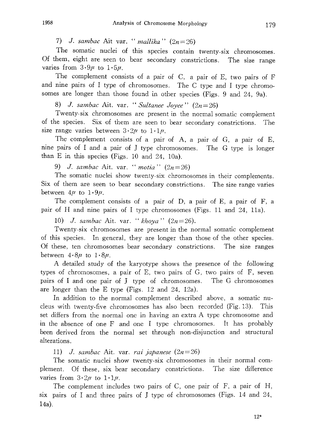7) J. sambac Ait var. "mallika"  $(2n=26)$ 

The somatic nuclei of this species contain twenty-six chromosomes . Of them, eight are seen to bear secondary constrictions. The size range varies from  $3.9\mu$  to  $1.5\mu$ .

The complement consists of a pair of C, a pair of E, two pairs of F and nine pairs of I type of chromosomes. The C type and I type chromo somes are longer than those found in other species (Figs. 9 and 24, 9a

8) J. sambac Ait. var. "Sultanee Joyee"  $(2n=26)$ 

Twenty-six chromosomes are present in the normal somatic complement of the species. Six of them are seen to bear secondary constrictions. The size range varies between  $3 \cdot 2\mu$  to  $1 \cdot 1\mu$ .

The complement consists of a pair of A, a pair of G, a pair of E, nine pairs of I and a pair of J type chromosomes. The G type is longer than E in this species (Figs. 10 and 24, 10a).

9) J. sambac Ait. var. "motia"  $(2n=26)$ 

The somatic nuclei show twenty-six chromosomes in their complements. Six of them are seen to bear secondary constrictions. The size range varies between  $4\mu$  to  $1\cdot 9\mu$ .

The complement consists of a pair of D, a pair of E, a pair of F, a pair of H and nine pairs of I type chromosomes (Figs. 11 and 24, 1la).

10) J. sambac Ait. var. "khoya"  $(2n=26)$ .

Twenty-six chromosomes are present in the normal somatic complement of this species. In general, they are longer than those of the other species. Of these, ten chromosomes bear secondary constrictions. The size ranges between  $4.8\mu$  to  $1.8\mu$ .

A detailed study of the karyotype shows the presence of the following types of chromosomes, a pair of E, two pairs of G, two pairs of F, seven pairs of I and one pair of J type of chromosomes. The G chromosomes are longer than the E type (Figs. 12 and 24, 12a).

In addition to the normal complement described above, a somatic nu cleus with twenty-five chromosomes has also been recorded (Fig. 13). This set differs from the normal one in having an extra A type chromosome and in the absence of one F and one I type chromosomes. It has probably been derived from the normal set through non-disjunction and structural alterations.

11) J. sambac Ait. var. rai japanese  $(2n=26)$ 

The somatic nuclei show twenty-six chromosomes in their normal com plement. Of these, six bear secondary constrictions. The size difference varies from  $3 \cdot 2\mu$  to  $1 \cdot 1\mu$ .

The complement includes two pairs of C, one pair of F, a pair of H, six pairs of I and three pairs of j type of chromosomes (Figs. 14 and 24, 14a).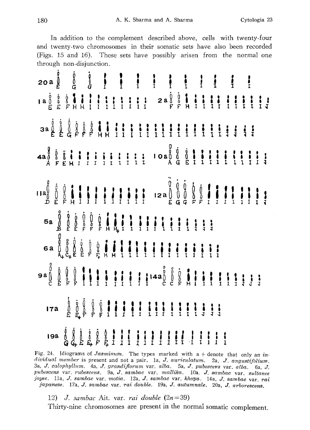In addition to the complement described above, cells with twenty-four and twenty-two chromosomes in their somatic sets have also been recorded (Figs. 15 and 16). These sets have possibly arisen from the normal one through non-disjunction.

| $5a \, \stackrel{0}{B} \, \stackrel{0}{E} \, \stackrel{0}{E} \, \stackrel{0}{F} \, \stackrel{0}{F} \, \stackrel{0}{F} \, \stackrel{0}{F} \, \stackrel{1}{H} \, \stackrel{1}{H} \, \stackrel{1}{H} \, \stackrel{1}{H} \, \stackrel{1}{H} \, \stackrel{1}{H} \, \stackrel{1}{H} \, \stackrel{1}{H} \, \stackrel{1}{H} \, \stackrel{1}{H} \, \stackrel{1}{H} \, \stackrel{1}{H} \, \stackrel{1}{H} \, \stackrel{1}{H} \, \stackrel{1}{$                                                                                                                    |  |  |  |  |  |  |  |  |  |
|---------------------------------------------------------------------------------------------------------------------------------------------------------------------------------------------------------------------------------------------------------------------------------------------------------------------------------------------------------------------------------------------------------------------------------------------------------------------------------------------------------------------------------------------------------|--|--|--|--|--|--|--|--|--|
|                                                                                                                                                                                                                                                                                                                                                                                                                                                                                                                                                         |  |  |  |  |  |  |  |  |  |
| $\bigoplus_{i=1}^{3}\left[\begin{array}{c}1\\0\\0\end{array}\right],\left[\begin{array}{c}1\\1\end{array}\right],\left[\begin{array}{c}1\\1\end{array}\right],\left[\begin{array}{c}1\\1\end{array}\right],\left[\begin{array}{c}1\\1\end{array}\right],\left[\begin{array}{c}1\\0\end{array}\right],\left[\begin{array}{c}0\\0\\0\end{array}\right],\left[\begin{array}{c}0\\1\end{array}\right],\left[\begin{array}{c}1\\1\end{array}\right],\left[\begin{array}{c}1\\1\end{array}\right],\left[\begin{array}{c}1\\1\end{$                            |  |  |  |  |  |  |  |  |  |
| $172 \t\left[\begin{array}{c}\vdots\\b\end{array}\right. \begin{array}{c}\vdots\\b\end{array}\right. \begin{array}{c}\vdots\\b\end{array}\right. \begin{array}{c}\vdots\\b\end{array}\left.\begin{array}{c}\vdots\\b\end{array}\right. \begin{array}{c}\vdots\\b\end{array}\right] \begin{array}{c}\vdots\\1\end{array}\left.\begin{array}{c}\vdots\\1\end{array}\right. \begin{array}{c}\vdots\\1\end{array}\right] \begin{array}{c}\vdots\\1\end{array}\left.\begin{array}{c}\vdots\\1\end{array}\right. \begin{array}{c}\vdots\\1\end{array}\right]$ |  |  |  |  |  |  |  |  |  |
| $194 \begin{array}{c} 0 \\ 0 \\ 0 \\ 0 \end{array} \begin{array}{c} 0 \\ 0 \\ 0 \\ 0 \end{array} \begin{array}{c} 0 \\ 0 \\ 0 \\ 0 \end{array} \begin{array}{c} 0 \\ 0 \\ 0 \\ 0 \end{array} \begin{array}{c} 0 \\ 0 \\ 0 \\ 0 \end{array} \begin{array}{c} 0 \\ 0 \\ 0 \\ 0 \end{array} \begin{array}{c} 0 \\ 0 \\ 0 \\ 0 \end{array} \begin{array}{c} 0 \\ 0 \\ 0 \\ 0 \end{array} \begin{array}{c} 0 \\ 0 \\ 0 \\ 0 \end{array} \begin{array}{c} 0 \\$                                                                                               |  |  |  |  |  |  |  |  |  |

Fig. 24. Idiograms of Jasminum. The types marked with  $a +$  denote that only an in $dividual$  member is present and not a pair. 1a, J. auriculatum. 2a, J. angustifolium. 3a, J. calophyllum.  $4a, J.$  grandiflorum var. alba.  $5a, J.$  pubescens var. alba.  $6a, J.$ pubescens var. rubescens. 9a, J. sambac var. mallika. 10a. J. sambac var. svltanee joyee. 11a, J. sambac var. motia. 12a, J. sambac var. khoya. 14a, J. sambac var. rai Japanese. 17a, J. sambac var. rai double. 19a, J. autumnale. 20a, J. arborescens.

12) J. sambac Ait. var. rai double  $(2n=39)$ Thirty-nine chromosomes are present in the normal somatic complement.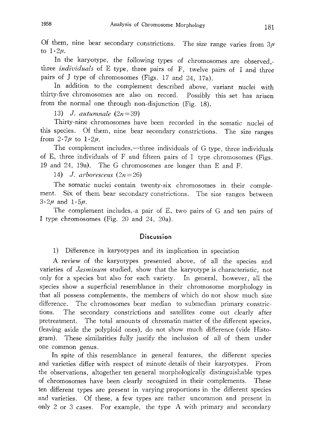Of them, nine bear secondary constrictions. The size range varies from  $3\mu$ to  $1 \cdot 2\mu$ .

In the karyotype, the following types of chromosomes are observed , three *individuals* of E type, three pairs of  $F$ , twelve pairs of I and thr pairs of J type of chromosomes (Figs. 17 and 24, 17a).

In addition to the complement described above, variant nuclei with thirty-five chromosomes are also on record. Possibly this set has arisen from the normal one through non-disjunction (Fig. 18).

13) J. autumnale  $(2n=39)$ 

Thirty-nine chromosomes have been recorded in the somatic nuclei of this species. Of them, nine bear secondary constrictions. The size range from  $2\cdot7\mu$  to  $1\cdot2\mu$ .

The complement includes,—three individuals of G type, three individuals of E, three individuals of F and fifteen pairs of I type chromosomes (Figs . 19 and 24, 19a). The G chromosomes are longer than E and F.

14) J. arborescens  $(2n=26)$ 

The somatic nuclei contain twenty-six chromosomes in their comple ment. Six of them bear secondary constrictions. The size ranges between  $3.2\mu$  and  $1.5\mu$ .

The complement includes,-a pair of E, two pairs of G and ten pairs of I type chromosomes (Fig. 20 and 24, 20a),

#### **Discussion**

1) Difference in karyotypes and its implication in speciation

A review of the karyotypes presented above, of all the species and varieties of Jasminum studied, show that the karyotype is characteristic, not only for a species but also for each variety. In general, however, all the species show a superficial resemblance in their chromosome morphology in that all possess complements, the members of which do not show much size difference. The chromosomes bear median to submedian primary constric tions. The secondary constrictions and satellites come out clearly after pretreatment. The total amounts of chromatin matter of the different species, (leaving aside the polyploid ones), do not show much difference (vide Histo gram). These similarities fully justify the inclusion of all of them under one common genus.

In spite of this resemblance in general features, the different species and varieties differ with respect of minute details of their karyotypes. From the observations, altogether ten general morphologically distinguishable types of chromosomes have been clearly recognized in their complements. These ten different types are present in varying proportions in the different species and varieties. Of these, a few types are rather uncommon and present in only 2 or 3 cases. For example, the type A with primary and secondary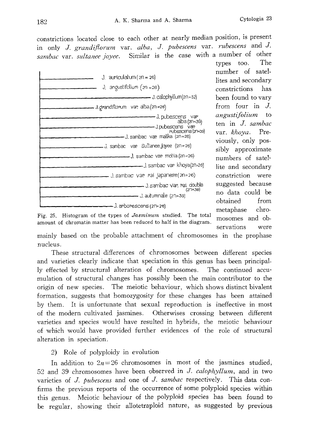constrictions located close to each other at nearly median position, is present in only J. grandiflorum var. alba, J. pubescens var. rubescens and J. sambac var. sultanee joyee. Similar is the case with a number of other<br>types too. The

| $J.$ auriculatum ( $2n = 26$ )                                                                            |  |  |  |  |  |
|-----------------------------------------------------------------------------------------------------------|--|--|--|--|--|
| J. angustifolium $(zn = 26)$                                                                              |  |  |  |  |  |
| - J. calophyllum(2n=52)                                                                                   |  |  |  |  |  |
| J. grandiflorum var. alba (2n=26)                                                                         |  |  |  |  |  |
| -J.pubescens var<br>alba (2n=39)<br>J.pubescens var<br>rubescens (2n=39)<br>J, sambac var. malika (zn=26) |  |  |  |  |  |
| −J. sambac var. Sultaneejoyee (2n=26)                                                                     |  |  |  |  |  |
|                                                                                                           |  |  |  |  |  |
| __ J sambac var khoya(2n=26)                                                                              |  |  |  |  |  |
| J. sambac van rai japanese (20=26)                                                                        |  |  |  |  |  |
| - J. sambac var. rai. double<br>$(2n = 39)$                                                               |  |  |  |  |  |
| — J. autumnale (2n=39)                                                                                    |  |  |  |  |  |
| J. arborescens (2n=26)                                                                                    |  |  |  |  |  |

types too. number of satel lites and secondary constrictions has been found to vary from four in J. angustifolium to ten in J. sambac var. khoya. Pre viously, only pos sibly approximate numbers of satel lite and secondary constriction were suggested because no data could be obtained from metaphase chro mosomes and ob servations were

Fig. 25. Histogram of the types of Jasminum studied. The total amount of chromatin matter has been reduced to half in the diagram.

mainly based on the probable attachment of chromosomes in the prophase nucleus.

These structural differences of chromosomes between different species and varieties clearly indicate that speciation in this genus has been principal ly effected by structural alteration of chromosomes. The continued accu mulation of structural changes has possibly been the main contributor to the origin of new species. The meiotic behaviour, which shows distinct bivalent formation, suggests that homozygosity for these changes has been attained by them. It is unfortunate that sexual reproduction is ineffective in most of the modern cultivated jasmines. Otherwises crossing between different varieties and species would have resulted in hybrids, the meiotic behaviour of which would have provided further evidences of the role of structural alteration in speciation.

2) Role of polyploidy in evolution

In addition to  $2n=26$  chromosomes in most of the jasmines studied, 52 and 39 chromosomes have been observed in  $J.$  calophyllum, and in two varieties of  $J.$  pubescens and one of  $J.$  sambac respectively. This data confirms the previous reports of the occurrence of some polyploid species within this genus. Meiotic behaviour of the polyploid species has been found to be regular, showing their allotetraploid nature, as suggested by previous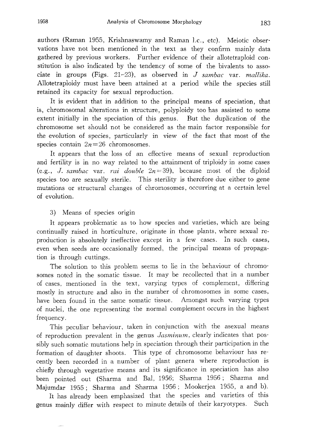authors (Raman 1955, Krishnaswamy and Raman I.c., etc). Meiotic obser vations have not been mentioned in the text as they confirm mainly data gathered by previous workers. Further evidence of their allotetraploid con stitution is also indicated by the tendency of some of the bivalents to asso ciate in groups (Figs.  $21-23$ ), as observed in  $J$  sambac var. mallika. Allotetraploidy must have been attained at a period while the species still retained its capacity for sexual reproduction.

It is evident that in addition to the principal means of speciation, that is, chromosomal alterations in structure, polyploidy too has assisted to some extent initially in the speciation of this genus. But the duplication of the chromosome set should not be considered as the main factor responsible for the evolution of species, particularly in view of the fact that most of the species contain  $2n=26$  chromosomes.

It appears that the loss of an effective means of sexual reproduction and fertility is in no way related to the attainment of triploidy in some cases (e.g., J. sambac var. rai double  $2n=39$ ), because most of the diploid species too are sexually sterile. This sterility is therefore due either to gene mutations or structural changes of chromosomes, occurring at a certain level of evolution.

## 3) Means of species origin

It appears problematic as to how species and varieties, which are being continually raised in horticulture, originate in those plants, where sexual re production is absolutely ineffective except in a few cases. In such cases, even when seeds are occasionally formed, the principal means of propaga tion is through cuttings.

The solution to this problem seems to lie in the behaviour of chromo somes noted in the somatic tissue. It may be recollected that in a number of cases, mentioned in the text, varying types of complement, differing mostly in structure and also in the number of chromosomes in some cases, have been found in the same somatic tissue. Amongst such varying types of nuclei, the one representing the normal complement occurs in the highest frequency.

This peculiar behaviour, taken in conjunction with the asexual means of reproduction prevalent in the genus Jasminum, clearly indicates that possibly such somatic mutations help in speciation through their participation in the formation of daughter shoots. This type of chromosome behaviour has re cently been recorded in a number of plant genera where reproduction is chiefly through vegetative means and its significance in speciation has also been pointed out (Sharma and Bal, 1956; Sharma 1956; Sharma and Majumdar 1955; Sharma and Sharma 1956; Mookerjea 1955, a and b).

It has already been emphasized that the species and varieties of this genus mainly differ with respect to minute details of their karyotypes. Such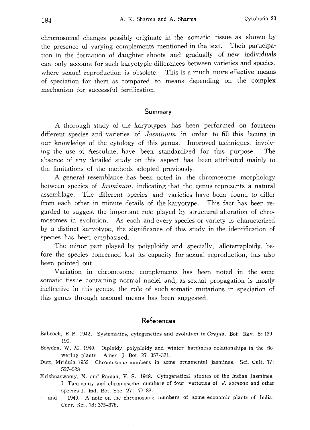chromosomal changes possibly originate in the somatic tissue as shown by the presence of varying complements mentioned in the text. Their participa tion in the formation of daughter shoots and gradually of new individuals can only account for such karyotypic differences between varieties and species, where sexual reproduction is obsolete. This is a much more effective means of speciation for them as compared to means depending on the complex mechanism for successful fertilization.

#### Summary

A thorough study of the karyotypes has been performed on fourteen different species and varieties of *Jasminum* in order to fill this lacuna in our knowledge of the cytology of this genus. Improved techniques, involv ing the use of Aesculine, have been standardized for this purpose. The absence of any detailed study on this aspect has been attributed mainly to the limitations of the methods adopted previously.

A general resemblance has been noted in the chromosome morphology between species of *Jasminum*, indicating that the genus represents a natural assemblage. The different species and varieties have been found to differ from each other in minute details of the karyotype. This fact has been re garded to suggest the important role played by structural alteration of chro mosomes in evolution. As each and every species or variety is characterized by a distinct karyotype, the significance of this study in the identification of species has been emphasized.

The minor part played by polyploidy and specially, allotetraploidy, be fore the species concerned lost its capacity for sexual reproduction, has also been pointed out.

Variation in chromosome complements has been noted in the same somatic tissue containing normal nuclei and, as sexual propagation is mostly ineffective in this genus, the role of such somatic mutations in speciation of this genus through asexual means has been suggested.

## References

- Babcock, E.B. 1942. Systematics, cytogenetics and evolution in Crepis. Bot. Rev. 8:139--190.
- Bowden, W. M. 1940, Diploidy, polyploidy and winter hardiness relationships in the flo wering plants. Amer. J. Bot. 27: 357-371.
- Dutt, Mridula 1952. Chromosome numbers in some ornamental jasmines. Sci. Cult. 17: 527-528.
- Krishnaswamy, N. and Raman, V. S. 1948. Cytogenetical studies of the Indian Jasmines. . Taxonomy and chromosome numbers of four varieties of J. sambac and other species J. Ind. Bot. Soc. 27: 77-83.
- $-$  and  $-$  1949. A note on the chromosome numbers of some economic plants of India. Curr. Sci. 18: 375-378.